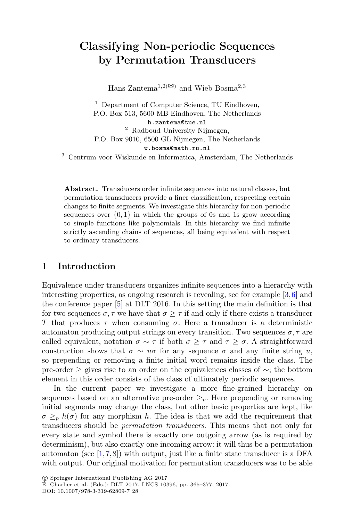# **Classifying Non-periodic Sequences by Permutation Transducers**

Hans Zantema<sup>1,2( $\boxtimes$ )</sup> and Wieb Bosma<sup>2,3</sup>

<sup>1</sup> Department of Computer Science, TU Eindhoven, P.O. Box 513, 5600 MB Eindhoven, The Netherlands h.zantema@tue.nl <sup>2</sup> Radboud University Nijmegen, P.O. Box 9010, 6500 GL Nijmegen, The Netherlands w.bosma@math.ru.nl

<sup>3</sup> Centrum voor Wiskunde en Informatica, Amsterdam, The Netherlands

**Abstract.** Transducers order infinite sequences into natural classes, but permutation transducers provide a finer classification, respecting certain changes to finite segments. We investigate this hierarchy for non-periodic sequences over  $\{0, 1\}$  in which the groups of 0s and 1s grow according to simple functions like polynomials. In this hierarchy we find infinite strictly ascending chains of sequences, all being equivalent with respect to ordinary transducers.

#### **1 Introduction**

Equivalence under transducers organizes infinite sequences into a hierarchy with interesting properties, as ongoing research is revealing, see for example [\[3,](#page-11-0)[6\]](#page-12-0) and the conference paper [\[5](#page-11-1)] at DLT 2016. In this setting the main definition is that for two sequences  $\sigma, \tau$  we have that  $\sigma > \tau$  if and only if there exists a transducer T that produces  $\tau$  when consuming  $\sigma$ . Here a transducer is a deterministic automaton producing output strings on every transition. Two sequences  $\sigma, \tau$  are called equivalent, notation  $\sigma \sim \tau$  if both  $\sigma > \tau$  and  $\tau > \sigma$ . A straightforward construction shows that  $\sigma \sim u\sigma$  for any sequence  $\sigma$  and any finite string u, so prepending or removing a finite initial word remains inside the class. The pre-order ≥ gives rise to an order on the equivalences classes of ∼; the bottom element in this order consists of the class of ultimately periodic sequences.

In the current paper we investigate a more fine-grained hierarchy on sequences based on an alternative pre-order  $\geq_p$ . Here prepending or removing initial segments may change the class, but other basic properties are kept, like  $\sigma \geq_{p} h(\sigma)$  for any morphism h. The idea is that we add the requirement that transducers should be *permutation transducers*. This means that not only for every state and symbol there is exactly one outgoing arrow (as is required by determinism), but also exactly one incoming arrow: it will thus be a permutation automaton (see  $[1,7,8]$  $[1,7,8]$  $[1,7,8]$  $[1,7,8]$ ) with output, just like a finite state transducer is a DFA with output. Our original motivation for permutation transducers was to be able

<sup>-</sup>c Springer International Publishing AG 2017

 $E.$  Charlier et al. (Eds.): DLT 2017, LNCS 10396, pp. 365–377, 2017.

DOI: 10.1007/978-3-319-62809-7 28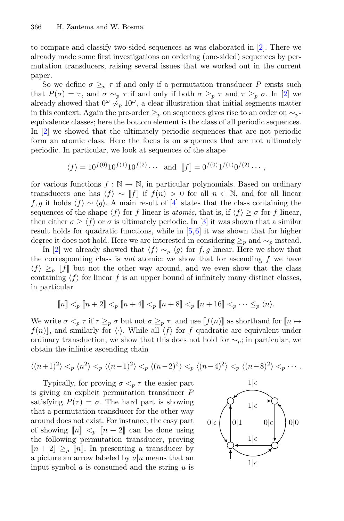to compare and classify two-sided sequences as was elaborated in [\[2\]](#page-11-3). There we already made some first investigations on ordering (one-sided) sequences by permutation transducers, raising several issues that we worked out in the current paper.

So we define  $\sigma \geq_{p} \tau$  if and only if a permutation transducer P exists such that  $P(\sigma) = \tau$ , and  $\sigma \sim_p \tau$  if and only if both  $\sigma \geq_p \tau$  and  $\tau \geq_p \sigma$ . In [\[2](#page-11-3)] we already showed that  $0^{\omega} \not\sim_{p} 10^{\omega}$ , a clear illustration that initial segments matter in this context. Again the pre-order  $\geq_p$  on sequences gives rise to an order on  $\sim_p$ equivalence classes; here the bottom element is the class of all periodic sequences. In [\[2](#page-11-3)] we showed that the ultimately periodic sequences that are not periodic form an atomic class. Here the focus is on sequences that are not ultimately periodic. In particular, we look at sequences of the shape

$$
\langle f \rangle = 10^{f(0)} 10^{f(1)} 10^{f(2)} \cdots
$$
 and  $[f] = 0^{f(0)} 1^{f(1)} 0^{f(2)} \cdots$ ,

for various functions  $f : \mathbb{N} \to \mathbb{N}$ , in particular polynomials. Based on ordinary transducers one has  $\langle f \rangle \sim ||f||$  if  $f(n) > 0$  for all  $n \in \mathbb{N}$ , and for all linear f,g it holds  $\langle f \rangle \sim \langle g \rangle$ . A main result of [\[4\]](#page-11-4) states that the class containing the sequences of the shape  $\langle f \rangle$  for f linear is *atomic*, that is, if  $\langle f \rangle \geq \sigma$  for f linear, then either  $\sigma \geq \langle f \rangle$  or  $\sigma$  is ultimately periodic. In [\[3](#page-11-0)] it was shown that a similar result holds for quadratic functions, while in [\[5,](#page-11-1)[6](#page-12-0)] it was shown that for higher degree it does not hold. Here we are interested in considering  $\geq_p$  and  $\sim_p$  instead.

In [\[2\]](#page-11-3) we already showed that  $\langle f \rangle \sim_p \langle g \rangle$  for f,g linear. Here we show that the corresponding class is *not* atomic: we show that for ascending f we have  $\langle f \rangle \geq_p \|f\|$  but not the other way around, and we even show that the class containing  $\langle f \rangle$  for linear f is an upper bound of infinitely many distinct classes, in particular

$$
[\![ n ]\!] <_p [\![ n+2 ]\!] <_p [\![ n+4 ]\!] <_p [\![ n+8 ]\!] <_p [\![ n+16 ]\!] <_p \cdot \cdot \cdot \leq_p \langle n \rangle.
$$

We write  $\sigma \leq_p \tau$  if  $\tau \geq_p \sigma$  but not  $\sigma \geq_p \tau$ , and use  $[[f(n)]]$  as shorthand for  $[n \mapsto$  $f(n)$ , and similarly for  $\langle \cdot \rangle$ . While all  $\langle f \rangle$  for f quadratic are equivalent under ordinary transduction, we show that this does not hold for  $\sim_p$ ; in particular, we obtain the infinite ascending chain

$$
\langle (n+1)^2 \rangle <_p \langle n^2 \rangle <_p \langle (n-1)^2 \rangle <_p \langle (n-2)^2 \rangle <_p \langle (n-4)^2 \rangle <_p \langle (n-8)^2 \rangle <_p \cdots
$$

Typically, for proving  $\sigma <_{p} \tau$  the easier part is giving an explicit permutation transducer P satisfying  $P(\tau) = \sigma$ . The hard part is showing that a permutation transducer for the other way around does not exist. For instance, the easy part of showing  $[n] < p [n+2]$  can be done using the following permutation transducer, proving  $[n+2] \geq p [n]$ . In presenting a transducer by a picture an arrow labeled by  $a|u$  means that an input symbol  $\alpha$  is consumed and the string  $\alpha$  is

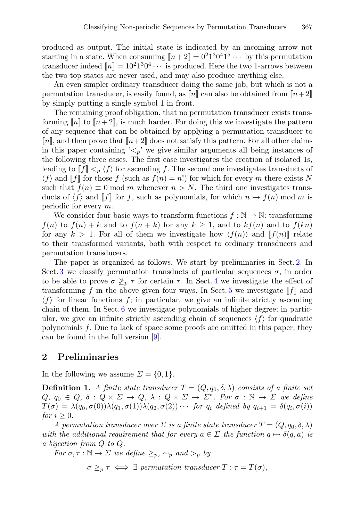produced as output. The initial state is indicated by an incoming arrow not starting in a state. When consuming  $\llbracket n+2 \rrbracket = 0^2 1^3 0^4 1^5 \cdots$  by this permutation transducer indeed  $\llbracket n \rrbracket = 10^21^30^4 \cdots$  is produced. Here the two 1-arrows between the two top states are never used, and may also produce anything else.

An even simpler ordinary transducer doing the same job, but which is not a permutation transducer, is easily found, as  $\llbracket n \rrbracket$  can also be obtained from  $\llbracket n+2 \rrbracket$ by simply putting a single symbol 1 in front.

The remaining proof obligation, that no permutation transducer exists transforming  $[n]$  to  $[n+2]$ , is much harder. For doing this we investigate the pattern of any sequence that can be obtained by applying a permutation transducer to  $[n]$ , and then prove that  $[n+2]$  does not satisfy this pattern. For all other claims in this paper containing  $\langle \lt_n \rangle$  we give similar arguments all being instances of the following three cases. The first case investigates the creation of isolated 1s, leading to  $[f] \leq_{p} \langle f \rangle$  for ascending f. The second one investigates transducts of  $\langle f \rangle$  and  $\|f\|$  for those f (such as  $f(n) = n!$ ) for which for every m there exists N such that  $f(n) \equiv 0 \mod m$  whenever  $n > N$ . The third one investigates transducts of  $\langle f \rangle$  and  $\llbracket f \rrbracket$  for f, such as polynomials, for which  $n \mapsto f(n)$  mod m is periodic for every m.

We consider four basic ways to transform functions  $f : \mathbb{N} \to \mathbb{N}$ : transforming  $f(n)$  to  $f(n) + k$  and to  $f(n + k)$  for any  $k \ge 1$ , and to  $kf(n)$  and to  $f(kn)$ for any  $k > 1$ . For all of them we investigate how  $\langle f(n) \rangle$  and  $\llbracket f(n) \rrbracket$  relate to their transformed variants, both with respect to ordinary transducers and permutation transducers.

The paper is organized as follows. We start by preliminaries in Sect. [2.](#page-2-0) In Sect. [3](#page-5-0) we classify permutation transducts of particular sequences  $\sigma$ , in order to be able to prove  $\sigma \not\geq_p \tau$  for certain  $\tau$ . In Sect. [4](#page-7-0) we investigate the effect of transforming f in the above given four ways. In Sect. [5](#page-7-1) we investigate  $\llbracket f \rrbracket$  and  $\langle f \rangle$  for linear functions f; in particular, we give an infinite strictly ascending chain of them. In Sect. [6](#page-9-0) we investigate polynomials of higher degree; in particular, we give an infinite strictly ascending chain of sequences  $\langle f \rangle$  for quadratic polynomials f. Due to lack of space some proofs are omitted in this paper; they can be found in the full version  $[9]$  $[9]$ .

## <span id="page-2-0"></span>**2 Preliminaries**

In the following we assume  $\Sigma = \{0, 1\}.$ 

**Definition 1.** *A finite state transducer*  $T = (Q, q_0, \delta, \lambda)$  *consists of a finite set*  $Q, q_0 \in Q, \delta: Q \times \Sigma \to Q, \lambda: Q \times \Sigma \to \Sigma^*$ . For  $\sigma: \mathbb{N} \to \Sigma$  we define  $T(\sigma) = \lambda(q_0, \sigma(0))\lambda(q_1, \sigma(1))\lambda(q_2, \sigma(2))\cdots$  *for*  $q_i$  defined by  $q_{i+1} = \delta(q_i, \sigma(i))$ *for*  $i \geq 0$ *.* 

*A permutation transducer over*  $\Sigma$  *is a finite state transducer*  $T = (Q, q_0, \delta, \lambda)$ *with the additional requirement that for every*  $a \in \Sigma$  *the function*  $q \mapsto \delta(q, a)$  *is a bijection from* Q *to* Q*.*

*For*  $\sigma, \tau : \mathbb{N} \to \Sigma$  *we define*  $\geq_p$ ,  $\sim_p$  *and*  $\geq_p$  *by* 

 $\sigma \geq_{p} \tau \iff \exists$  permutation transducer  $T : \tau = T(\sigma),$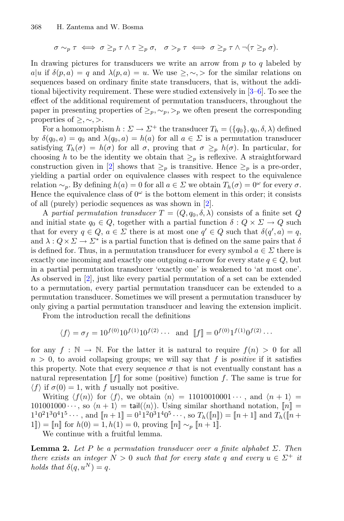$$
\sigma \sim_p \tau \iff \sigma \geq_p \tau \land \tau \geq_p \sigma, \quad \sigma >_p \tau \iff \sigma \geq_p \tau \land \neg(\tau \geq_p \sigma).
$$

In drawing pictures for transducers we write an arrow from  $p$  to  $q$  labeled by  $a|u$  if  $\delta(p,a) = q$  and  $\lambda(p,a) = u$ . We use  $\geq, \sim, \gt$  for the similar relations on sequences based on ordinary finite state transducers, that is, without the additional bijectivity requirement. These were studied extensively in [\[3](#page-11-0)[–6\]](#page-12-0). To see the effect of the additional requirement of permutation transducers, throughout the paper in presenting properties of  $\geq_p, \sim_p, \geq_p$  we often present the corresponding properties of  $\geq, \sim, \gt.$ 

For a homomorphism  $h : \Sigma \to \Sigma^+$  the transducer  $T_h = (\{q_0\}, q_0, \delta, \lambda)$  defined by  $\delta(q_0, a) = q_0$  and  $\lambda(q_0, a) = h(a)$  for all  $a \in \Sigma$  is a permutation transducer satisfying  $T_h(\sigma) = h(\sigma)$  for all  $\sigma$ , proving that  $\sigma \geq_p h(\sigma)$ . In particular, for choosing h to be the identity we obtain that  $\geq_p$  is reflexive. A straightforward construction given in [\[2\]](#page-11-3) shows that  $\geq_p$  is transitive. Hence  $\geq_p$  is a pre-order, yielding a partial order on equivalence classes with respect to the equivalence relation  $\sim_p$ . By defining  $h(a) = 0$  for all  $a \in \Sigma$  we obtain  $T_h(\sigma) = 0^\omega$  for every  $\sigma$ . Hence the equivalence class of  $0^{\omega}$  is the bottom element in this order; it consists of all (purely) periodic sequences as was shown in [\[2](#page-11-3)].

A partial permutation transducer  $T = (Q, q_0, \delta, \lambda)$  consists of a finite set Q and initial state  $q_0 \in Q$ , together with a partial function  $\delta: Q \times \Sigma \to Q$  such that for every  $q \in Q$ ,  $a \in \Sigma$  there is at most one  $q' \in Q$  such that  $\delta(q', a) = q$ , and  $\lambda: Q \times \Sigma \to \Sigma^*$  is a partial function that is defined on the same pairs that  $\delta$ is defined for. Thus, in a permutation transducer for every symbol  $a \in \Sigma$  there is exactly one incoming and exactly one outgoing a-arrow for every state  $q \in Q$ , but in a partial permutation transducer 'exactly one' is weakened to 'at most one'. As observed in [\[2](#page-11-3)], just like every partial permutation of a set can be extended to a permutation, every partial permutation transducer can be extended to a permutation transducer. Sometimes we will present a permutation transducer by only giving a partial permutation transducer and leaving the extension implicit.

From the introduction recall the definitions

$$
\langle f \rangle = \sigma_f = 10^{f(0)} 10^{f(1)} 10^{f(2)} \cdots
$$
 and  $[f] = 0^{f(0)} 1^{f(1)} 0^{f(2)} \cdots$ 

for any  $f : \mathbb{N} \to \mathbb{N}$ . For the latter it is natural to require  $f(n) > 0$  for all  $n > 0$ , to avoid collapsing groups; we will say that f is *positive* if it satisfies this property. Note that every sequence  $\sigma$  that is not eventually constant has a natural representation  $\llbracket f \rrbracket$  for some (positive) function f. The same is true for  $\langle f \rangle$  if  $\sigma(0) = 1$ , with f usually not positive.

Writing  $\langle f(n) \rangle$  for  $\langle f \rangle$ , we obtain  $\langle n \rangle = 11010010001 \cdots$ , and  $\langle n + 1 \rangle =$ 101001000 $\cdots$ , so  $\langle n + 1 \rangle = \text{tail}(\langle n \rangle)$ . Using similar shorthand notation,  $[\![n]\!] =$  $1^10^21^30^41^5\cdots$ , and  $[n+1]=0^11^20^31^40^5\cdots$ , so  $T_h([n])=[n+1]$  and  $T_h([n+1])$  $[1]$ ] =  $[n]$  for  $h(0) = 1, h(1) = 0$ , proving  $[n] \sim_p [n+1]$ .

<span id="page-3-0"></span>We continue with a fruitful lemma.

**Lemma 2.** Let P be a permutation transducer over a finite alphabet  $\Sigma$ . Then *there exists an integer*  $N > 0$  *such that for every state* q *and every*  $u \in \Sigma^+$  *it holds that*  $\delta(q, u^N) = q$ .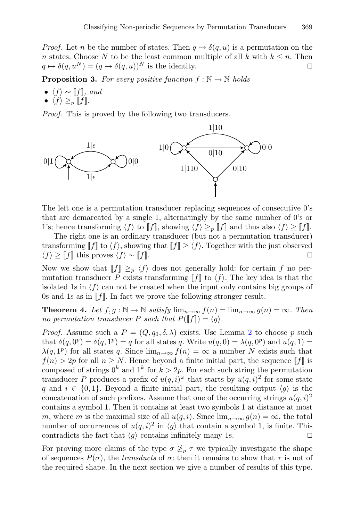*Proof.* Let *n* be the number of states. Then  $q \mapsto \delta(q, u)$  is a permutation on the *n* states. Choose *N* to be the least common multiple of all *k* with  $k \le n$ . Then  $a \mapsto \delta(a, u^N) = (a \mapsto \delta(a, u))^N$  is the identity.  $q \mapsto \delta(q, u^N) = (q \mapsto \delta(q, u))^N$  is the identity.

<span id="page-4-0"></span>**Proposition 3.** For every positive function  $f : \mathbb{N} \to \mathbb{N}$  holds

- $\langle f \rangle \sim [f]$ *, and*
- $\langle f \rangle \geq_p \|f\|.$

*Proof.* This is proved by the following two transducers.



The left one is a permutation transducer replacing sequences of consecutive 0's that are demarcated by a single 1, alternatingly by the same number of 0's or 1's; hence transforming  $\langle f \rangle$  to [[f]], showing  $\langle f \rangle \geq p$  [[f]] and thus also  $\langle f \rangle \geq [f]$ .

The right one is an ordinary transducer (but not a permutation transducer) transforming  $[[f]]$  to  $\langle f \rangle$ , showing that  $[[f]] \ge \langle f \rangle$ . Together with the just observed  $\langle f \rangle > [[f]]$  this proves  $\langle f \rangle \sim [[f]]$ .  $\langle f \rangle \geq \llbracket f \rrbracket$  this proves  $\langle f \rangle \sim \llbracket f \rrbracket$ .

Now we show that  $\|f\| \geq_p \langle f \rangle$  does not generally hold: for certain f no permutation transducer P exists transforming  $\llbracket f \rrbracket$  to  $\langle f \rangle$ . The key idea is that the isolated 1s in  $\langle f \rangle$  can not be created when the input only contains big groups of 0s and 1s as in  $\llbracket f \rrbracket$ . In fact we prove the following stronger result.

<span id="page-4-1"></span>**Theorem 4.** Let  $f, g : \mathbb{N} \to \mathbb{N}$  satisfy  $\lim_{n \to \infty} f(n) = \lim_{n \to \infty} g(n) = \infty$ . Then *no permutation transducer*  $P$  *such that*  $P(\llbracket f \rrbracket) = \langle g \rangle$ .

*Proof.* Assume such a  $P = (Q, q_0, \delta, \lambda)$  exists. Use Lemma [2](#page-3-0) to choose p such that  $\delta(q, 0^p) = \delta(q, 1^p) = q$  for all states q. Write  $u(q, 0) = \lambda(q, 0^p)$  and  $u(q, 1) =$  $\lambda(q, 1^p)$  for all states q. Since  $\lim_{n\to\infty} f(n) = \infty$  a number N exists such that  $f(n) > 2p$  for all  $n \geq N$ . Hence beyond a finite initial part, the sequence  $\llbracket f \rrbracket$  is composed of strings  $0^k$  and  $1^k$  for  $k > 2p$ . For each such string the permutation transducer P produces a prefix of  $u(q, i)^\omega$  that starts by  $u(q, i)^2$  for some state q and  $i \in \{0,1\}$ . Beyond a finite initial part, the resulting output  $\langle q \rangle$  is the concatenation of such prefixes. Assume that one of the occurring strings  $u(q, i)^2$ contains a symbol 1. Then it contains at least two symbols 1 at distance at most m, where m is the maximal size of all  $u(q, i)$ . Since  $\lim_{n\to\infty} g(n) = \infty$ , the total number of occurrences of  $u(q, i)^2$  in  $\langle g \rangle$  that contain a symbol 1, is finite. This contradicts the fact that  $\langle q \rangle$  contains infinitely many 1s. contradicts the fact that  $\langle q \rangle$  contains infinitely many 1s.

For proving more claims of the type  $\sigma \not\geq_p \tau$  we typically investigate the shape of sequences  $P(\sigma)$ , the *transducts* of  $\sigma$ : then it remains to show that  $\tau$  is not of the required shape. In the next section we give a number of results of this type.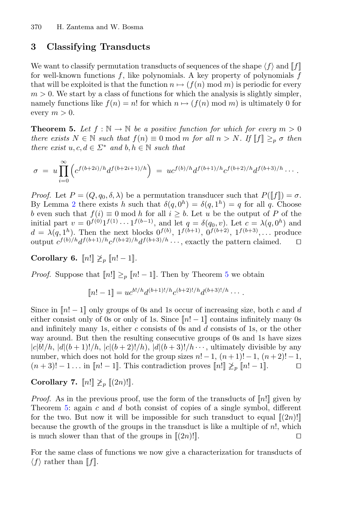# <span id="page-5-0"></span>**3 Classifying Transducts**

We want to classify permutation transducts of sequences of the shape  $\langle f \rangle$  and  $\llbracket f \rrbracket$ for well-known functions  $f$ , like polynomials. A key property of polynomials  $f$ that will be exploited is that the function  $n \mapsto (f(n) \mod m)$  is periodic for every  $m > 0$ . We start by a class of functions for which the analysis is slightly simpler, namely functions like  $f(n) = n!$  for which  $n \mapsto (f(n) \mod m)$  is ultimately 0 for every  $m > 0$ .

<span id="page-5-1"></span>**Theorem 5.** Let  $f : \mathbb{N} \to \mathbb{N}$  be a positive function for which for every  $m > 0$ *there exists*  $N \in \mathbb{N}$  *such that*  $f(n) \equiv 0 \text{ mod } m$  *for all*  $n > N$ *. If*  $\llbracket f \rrbracket \geq_p \sigma$  *then there exist*  $u, c, d \in \Sigma^*$  *and*  $b, h \in \mathbb{N}$  *such that* 

$$
\sigma = u \prod_{i=0}^{\infty} \left( c^{f(b+2i)/h} d^{f(b+2i+1)/h} \right) = u c^{f(b)/h} d^{f(b+1)/h} c^{f(b+2)/h} d^{f(b+3)/h} \cdots
$$

*Proof.* Let  $P = (Q, q_0, \delta, \lambda)$  be a permutation transducer such that  $P(\llbracket f \rrbracket) = \sigma$ . By Lemma [2](#page-3-0) there exists h such that  $\delta(q, 0^h) = \delta(q, 1^h) = q$  for all q. Choose b even such that  $f(i) \equiv 0 \mod h$  for all  $i \geq b$ . Let u be the output of P of the initial part  $v = 0^{f(0)} 1^{f(1)} \cdots 1^{f(b-1)}$ , and let  $q = \delta(q_0, v)$ . Let  $c = \lambda(q, 0^h)$  and  $d = \lambda(q, 1^h)$ . Then the next blocks  $0^{f(b)}$ ,  $1^{f(b+1)}$ ,  $0^{f(b+2)}$ ,  $1^{f(b+3)}$ ,... produce output  $c^{f(b)/h}d^{f(b+1)/h}c^{f(b+2)/h}d^{f(b+3)/h} \dots$ , exactly the pattern claimed.  $\square$ 

**Corollary 6.**  $[n!] \not\geq_p [n!-1]$ *.* 

*Proof.* Suppose that  $[n!] \geq_p [n! - 1]$ . Then by Theorem [5](#page-5-1) we obtain

$$
[\![n!-1]\!] = u c^{b!/h} d^{(b+1)!/h} c^{(b+2)!/h} d^{(b+3)!/h} \cdots
$$

Since in  $[n! - 1]$  only groups of 0s and 1s occur of increasing size, both c and d either consist only of 0s or only of 1s. Since  $\llbracket n! - 1 \rrbracket$  contains infinitely many 0s and infinitely many 1s, either  $c$  consists of 0s and  $d$  consists of 1s, or the other way around. But then the resulting consecutive groups of 0s and 1s have sizes  $|c|b!/h, |d|(b+1)!/h, |c|(b+2)!/h), |d|(b+3)!/h \cdots$ , ultimately divisible by any number, which does not hold for the group sizes  $n! - 1$ ,  $(n + 1)! - 1$ ,  $(n + 2)! - 1$ ,  $(n + 3)! - 1$ ... in  $[n! - 1]$ . This contradiction proves  $[n!] \geq n [n! - 1]$ .  $(n+3)! - 1...$  in  $[n! - 1]$ . This contradiction proves  $[n!] \not\geq_n [n! - 1]$ .

**Corollary 7.**  $[n!] \not\geq_p [(2n)!]$ *.* 

*Proof.* As in the previous proof, use the form of the transducts of  $\lVert n! \rVert$  given by Theorem [5:](#page-5-1) again  $c$  and  $d$  both consist of copies of a single symbol, different for the two. But now it will be impossible for such transduct to equal  $[(2n)!]$ because the growth of the groups in the transduct is like a multiple of  $n!$ , which is much slower than that of the groups in  $[(2n)!]$ .

<span id="page-5-2"></span>For the same class of functions we now give a characterization for transducts of  $\langle f \rangle$  rather than [f].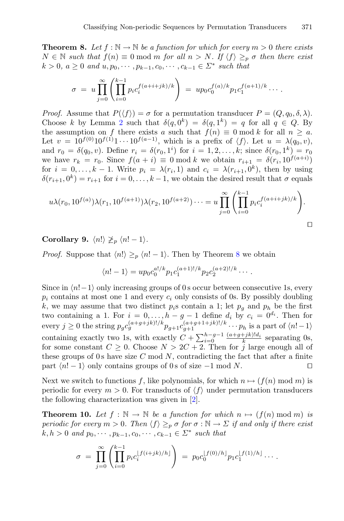**Theorem 8.** Let  $f : \mathbb{N} \to \mathbb{N}$  be a function for which for every  $m > 0$  there exists  $N ∈ ℕ$  *such that*  $f(n) ≡ 0 \text{ mod } m$  *for all*  $n > N$ *. If*  $\langle f \rangle ≥_p \sigma$  *then there exist*  $k > 0, a ≥ 0$  *and*  $u, p_0, \dots, p_{k-1}, c_0, \dots, c_{k-1} \in \Sigma^*$  *such that* 

$$
\sigma = u \prod_{j=0}^{\infty} \left( \prod_{i=0}^{k-1} p_i c_i^{f(a+i+jk)/k} \right) = u p_0 c_0^{f(a)/k} p_1 c_1^{f(a+1)/k} \cdots
$$

*Proof.* Assume that  $P(\langle f \rangle) = \sigma$  for a permutation transducer  $P = (Q, q_0, \delta, \lambda)$ . Choose k by Lemma [2](#page-3-0) such that  $\delta(a, 0^k) = \delta(a, 1^k) = a$  for all  $a \in Q$ . By the assumption on f there exists a such that  $f(n) \equiv 0 \mod k$  for all  $n \geq a$ . Let  $v = 10^{f(0)} 10^{f(1)} 1 \cdots 10^{f(a-1)}$ , which is a prefix of  $\langle f \rangle$ . Let  $u = \lambda(q_0, v)$ , and  $r_0 = \delta(q_0, v)$ . Define  $r_i = \delta(r_0, 1^i)$  for  $i = 1, 2, ..., k$ ; since  $\delta(r_0, 1^k) = r_0$ we have  $r_k = r_0$ . Since  $f(a + i) \equiv 0 \mod k$  we obtain  $r_{i+1} = \delta(r_i, 10^{f(a+i)})$ for  $i = 0, \ldots, k - 1$ . Write  $p_i = \lambda(r_i, 1)$  and  $c_i = \lambda(r_{i+1}, 0^k)$ , then by using  $\delta(r_{i+1}, 0^k) = r_{i+1}$  for  $i = 0, \ldots, k-1$ , we obtain the desired result that  $\sigma$  equals

$$
u\lambda(r_0, 10^{f(a)})\lambda(r_1, 10^{f(a+1)})\lambda(r_2, 10^{f(a+2)})\cdots = u\prod_{j=0}^{\infty} \left(\prod_{i=0}^{k-1} p_i c_i^{f(a+i+jk)/k}\right).
$$

#### **Corollary 9.**  $\langle n! \rangle \not\geq_p \langle n! - 1 \rangle$ .

*Proof.* Suppose that  $\langle n! \rangle \geq_n \langle n! - 1 \rangle$ . Then by Theorem [8](#page-5-2) we obtain

$$
\langle n! - 1 \rangle = u p_0 c_0^{a!/k} p_1 c_1^{(a+1)!/k} p_2 c_2^{(a+2)!/k} \cdots
$$

Since in  $\langle n!-1 \rangle$  only increasing groups of 0 s occur between consecutive 1s, every  $p_i$  contains at most one 1 and every  $c_i$  only consists of 0s. By possibly doubling k, we may assume that two distinct  $p_i$ s contain a 1; let  $p_q$  and  $p_h$  be the first two containing a 1. For  $i = 0, \ldots, h-g-1$  define  $d_i$  by  $c_i = 0^{d_i}$ . Then for every  $j \ge 0$  the string  $p_g c_g^{(a+g+jk)!/k} p_{g+1} c_{g+1}^{(a+g+1+jk)!/k} \cdots p_h$  is a part of  $\langle n!-1 \rangle$ containing exactly two 1s, with exactly  $C + \sum_{i=0}^{h-g-1} \frac{(a+g+jk)!d_i}{k}$  separating 0s, for some constant  $C \geq 0$ . Choose  $N > 2C + 2$ . Then for j large enough all of these groups of 0 s have size  $C \mod N$ , contradicting the fact that after a finite part  $\langle n! - 1 \rangle$  only contains groups of 0 s of size  $-1$  mod N.  $\Box$ 

Next we switch to functions f, like polynomials, for which  $n \mapsto (f(n) \mod m)$  is periodic for every  $m > 0$ . For transducts of  $\langle f \rangle$  under permutation transducers the following characterization was given in [\[2](#page-11-3)].

<span id="page-6-0"></span>**Theorem 10.** Let  $f : \mathbb{N} \to \mathbb{N}$  be a function for which  $n \mapsto (f(n) \mod m)$  is *periodic for every*  $m > 0$ *. Then*  $\langle f \rangle \geq_{p} \sigma$  *for*  $\sigma : \mathbb{N} \to \Sigma$  *if and only if there exist*  $k, h > 0$  *and*  $p_0, \dots, p_{k-1}, c_0, \dots, c_{k-1} \in \Sigma^*$  *such that* 

$$
\sigma = \prod_{j=0}^{\infty} \left( \prod_{i=0}^{k-1} p_i c_i^{[f(i+jk)/h]} \right) = p_0 c_0^{[f(0)/h]} p_1 c_1^{[f(1)/h]} \cdots
$$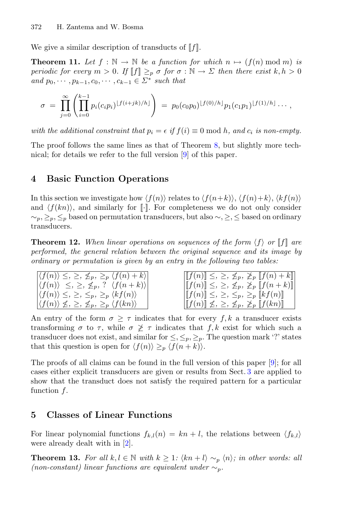<span id="page-7-2"></span>We give a similar description of transducts of  $\llbracket f \rrbracket$ .

**Theorem 11.** Let  $f : \mathbb{N} \to \mathbb{N}$  be a function for which  $n \mapsto (f(n) \mod m)$  is *periodic for every*  $m > 0$ . If  $\llbracket f \rrbracket \geq_p \sigma$  *for*  $\sigma : \mathbb{N} \to \Sigma$  *then there exist*  $k, h > 0$ *and*  $p_0, \dots, p_{k-1}, c_0, \dots, c_{k-1} \in \Sigma^*$  *such that* 

$$
\sigma = \prod_{j=0}^{\infty} \left( \prod_{i=0}^{k-1} p_i(c_i p_i)^{\lfloor f(i+jk)/h \rfloor} \right) = p_0(c_0 p_0)^{\lfloor f(0)/h \rfloor} p_1(c_1 p_1)^{\lfloor f(1)/h \rfloor} \cdots,
$$

*with the additional constraint that*  $p_i = \epsilon$  *if*  $f(i) \equiv 0 \text{ mod } h$ *, and*  $c_i$  *is non-empty.* 

The proof follows the same lines as that of Theorem [8,](#page-5-2) but slightly more technical; for details we refer to the full version [\[9\]](#page-12-3) of this paper.

## <span id="page-7-0"></span>**4 Basic Function Operations**

In this section we investigate how  $\langle f(n) \rangle$  relates to  $\langle f(n+k) \rangle$ ,  $\langle f(n)+k \rangle$ ,  $\langle kf(n) \rangle$ and  $\langle f(kn) \rangle$ , and similarly for [·]. For completeness we do not only consider  $\sim_p, \leq_p, \leq_p$  based on permutation transducers, but also  $\sim, \geq, \leq$  based on ordinary transducers.

**Theorem 12.** When linear operations on sequences of the form  $\langle f \rangle$  or  $\|f\|$  are *performed, the general relation between the original sequence and its image by ordinary or permutation is given by an entry in the following two tables:*

| $ \langle f(n) \rangle \leq, \geq, \leq_p, \geq_p \langle f(n) + k \rangle $                                       | $\left \left[\llbracket f(n)\rrbracket \leq, \geq, \not\leq_p, \not\geq_p \left[\llbracket f(n)+k\rrbracket\right]\right $        |
|--------------------------------------------------------------------------------------------------------------------|-----------------------------------------------------------------------------------------------------------------------------------|
| $ \langle f(n) \rangle \leq \sum \mathcal{L}_p$ , ? $\langle f(n+k) \rangle$                                       | $\left \left[\llbracket f(n)\rrbracket \leq, \geq, \not\leq_p, \not\geq_p \left[\llbracket f(n+k)\rrbracket\right \right]\right $ |
| $ \langle f(n) \rangle \leq, \geq, \leq_p, \geq_p \langle kf(n) \rangle$                                           | $\ f(n)\  \leq, \geq, \leq_p, \geq_p \ kf(n)\ $                                                                                   |
| $\left \left\langle f(n)\right\rangle \nleq, \leq_{p} \nleq_{p} \right\rangle_{p} \left\langle f(kn)\right\rangle$ | $[[f(n)] \nleq, \geq, \leq_p, \geq_p [[f(kn)]]$                                                                                   |

An entry of the form  $\sigma \geq \tau$  indicates that for every f, k a transducer exists transforming  $\sigma$  to  $\tau$ , while  $\sigma \not\geq \tau$  indicates that  $f, k$  exist for which such a transducer does not exist, and similar for  $\leq, \leq_p, \geq_p$ . The question mark '?' states that this question is open for  $\langle f(n) \rangle \geq_p \langle f(n + k) \rangle$ .

The proofs of all claims can be found in the full version of this paper [\[9\]](#page-12-3); for all cases either explicit transducers are given or results from Sect. [3](#page-5-0) are applied to show that the transduct does not satisfy the required pattern for a particular function f.

#### <span id="page-7-1"></span>**5 Classes of Linear Functions**

For linear polynomial functions  $f_{k,l}(n) = kn + l$ , the relations between  $\langle f_{k,l} \rangle$ were already dealt with in [\[2\]](#page-11-3).

**Theorem 13.** For all  $k, l \in \mathbb{N}$  with  $k \geq 1$ :  $\langle kn+l \rangle \sim_p \langle n \rangle$ ; in other words: all *(non-constant) linear functions are equivalent under*  $\sim_p$ *.*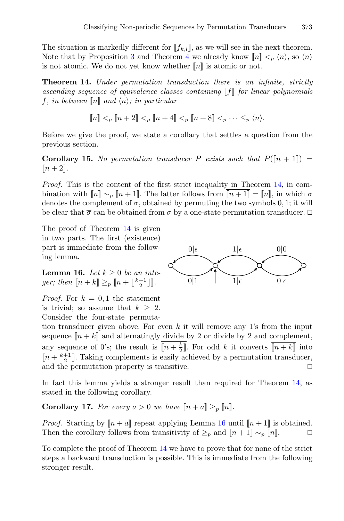The situation is markedly different for  $[f_{k,l}]$ , as we will see in the next theorem. Note that by Proposition [3](#page-4-0) and Theorem [4](#page-4-1) we already know  $[n] \leq_p \langle n \rangle$ , so  $\langle n \rangle$ is not atomic. We do not yet know whether  $\llbracket n \rrbracket$  is atomic or not.

<span id="page-8-0"></span>**Theorem 14.** *Under permutation transduction there is an infinite, strictly ascending sequence of equivalence classes containing* [[f]] *for linear polynomials f*, *in between*  $\llbracket n \rrbracket$  *and*  $\langle n \rangle$ *; in particular* 

$$
[\![ n ]\!] <_p [\![ n+2 ]\!] <_p [\![ n+4 ]\!] <_p [\![ n+8 ]\!] <_p \cdot \cdot \cdot \leq_p \langle n \rangle.
$$

Before we give the proof, we state a corollary that settles a question from the previous section.

**Corollary 15.** No permutation transducer P exists such that  $P(\lceil n+1 \rceil) =$  $[n+2]$ .

*Proof.* This is the content of the first strict inequality in Theorem [14,](#page-8-0) in combination with  $\llbracket n \rrbracket \sim_p \llbracket n+1 \rrbracket$ . The latter follows from  $\llbracket n+1 \rrbracket = \llbracket n \rrbracket$ , in which  $\bar{\sigma}$ denotes the complement of  $\sigma$ , obtained by permuting the two symbols 0, 1; it will be clear that  $\bar{\sigma}$  can be obtained from  $\sigma$  by a one-state permutation transducer.  $\Box$ 

The proof of Theorem [14](#page-8-0) is given in two parts. The first (existence) part is immediate from the following lemma.

<span id="page-8-1"></span>**Lemma 16.** *Let*  $k \geq 0$  *be an integer;* then  $\llbracket n+k \rrbracket \geq_p \llbracket n+\lfloor \frac{k+1}{2} \rfloor \rrbracket$ .

*Proof.* For  $k = 0, 1$  the statement is trivial; so assume that  $k \geq 2$ . Consider the four-state permuta-

tion transducer given above. For even k it will remove any 1's from the input sequence  $[n + k]$  and alternatingly divide by 2 or divide by 2 and complement, any sequence of 0's; the result is  $[n + \frac{k}{2}]$ . For odd k it converts  $\overline{[n+k]}$  into  $\llbracket n + \frac{k+1}{2} \rrbracket$ . Taking complements is easily achieved by a permutation transducer, and the permutation property is transitive.

In fact this lemma yields a stronger result than required for Theorem [14,](#page-8-0) as stated in the following corollary.

**Corollary 17.** For every  $a > 0$  we have  $\llbracket n + a \rrbracket \geq_p \llbracket n \rrbracket$ .

*Proof.* Starting by  $[n + a]$  repeat applying Lemma [16](#page-8-1) until  $[n + 1]$  is obtained. Then the corollary follows from transitivity of  $\geq_p$  and  $[n+1] \sim_p [n]$ .  $\Box$ 

To complete the proof of Theorem [14](#page-8-0) we have to prove that for none of the strict steps a backward transduction is possible. This is immediate from the following stronger result.

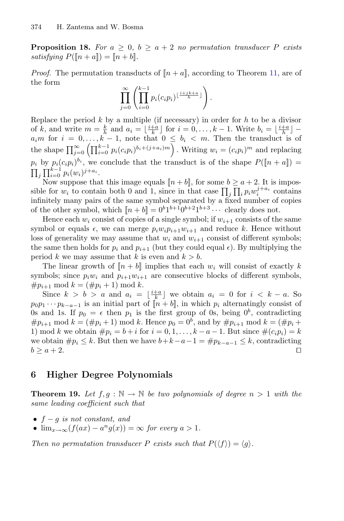**Proposition 18.** For  $a \geq 0$ ,  $b \geq a+2$  no permutation transducer P exists *satisfying*  $P([n+a]) = [n+b]$ *.* 

*Proof.* The permutation transducts of  $[n + a]$ , according to Theorem [11,](#page-7-2) are of the form

$$
\prod_{j=0}^{\infty} \left( \prod_{i=0}^{k-1} p_i(c_i p_i)^{\lfloor \frac{i+jk+a}{h} \rfloor} \right).
$$

Replace the period  $k$  by a multiple (if necessary) in order for  $h$  to be a divisor of k, and write  $m = \frac{k}{h}$  and  $a_i = \lfloor \frac{i+a}{k} \rfloor$  for  $i = 0, \ldots, k-1$ . Write  $b_i = \lfloor \frac{i+a}{h} \rfloor$  $a_i m$  for  $i = 0, \ldots, k - 1$ , note that  $0 \leq b_i < m$ . Then the transduct is of the shape  $\prod_{j=0}^{\infty} \left( \prod_{i=0}^{k-1} p_i(c_i p_i)^{b_i+(j+a_i)m} \right)$ . Writing  $w_i = (c_i p_i)^m$  and replacing  $p_i$  by  $p_i(c_i p_i)^{b_i}$ , we conclude that the transduct is of the shape  $P([n + a]) =$  $\prod_j \prod_{i=0}^{k-1} p_i(w_i)^{j+a_i}$ .

Now suppose that this image equals  $[n + b]$ , for some  $b \ge a + 2$ . It is impossible for  $w_i$  to contain both 0 and 1, since in that case  $\prod_j \prod_i p_i w_i^{j+a_i}$  contains infinitely many pairs of the same symbol separated by a fixed number of copies of the other symbol, which  $[[n+b]] = 0^b 1^{b+1} 0^{b+2} 1^{b+3} \cdots$  clearly does not.

Hence each  $w_i$  consist of copies of a single symbol; if  $w_{i+1}$  consists of the same symbol or equals  $\epsilon$ , we can merge  $p_i w_i p_{i+1} w_{i+1}$  and reduce k. Hence without loss of generality we may assume that  $w_i$  and  $w_{i+1}$  consist of different symbols; the same then holds for  $p_i$  and  $p_{i+1}$  (but they could equal  $\epsilon$ ). By multiplying the period k we may assume that k is even and  $k > b$ .

The linear growth of  $[n + b]$  implies that each  $w_i$  will consist of exactly k symbols; since  $p_i w_i$  and  $p_{i+1} w_{i+1}$  are consecutive blocks of different symbols,  $\#p_{i+1} \mod k = (\#p_i + 1) \mod k.$ 

Since  $k > b > a$  and  $a_i = \lfloor \frac{i+a}{k} \rfloor$  we obtain  $a_i = 0$  for  $i < k - a$ . So  $p_0p_1 \cdots p_{k-a-1}$  is an initial part of  $[n + b]$ , in which  $p_i$  alternatingly consist of 0s and 1s. If  $p_0 = \epsilon$  then  $p_1$  is the first group of 0s, being  $0^b$ , contradicting  $\#p_{i+1} \mod k = (\#p_i + 1) \mod k$ . Hence  $p_0 = 0^b$ , and by  $\#p_{i+1} \mod k = (\#p_i +$ 1) mod k we obtain  $\#p_i = b + i$  for  $i = 0, 1, ..., k - a - 1$ . But since  $\#(c_i p_i) = k$ we obtain  $\#p_i \leq k$ . But then we have  $b+k-a-1 = \#p_{k-a-1} \leq k$ , contradicting  $b > a+2$ .  $b \ge a+2$ .

## <span id="page-9-0"></span>**6 Higher Degree Polynomials**

<span id="page-9-1"></span>**Theorem 19.** Let  $f, g : \mathbb{N} \to \mathbb{N}$  be two polynomials of degree  $n > 1$  with the *same leading coefficient such that*

- f − g *is not constant, and*
- $\lim_{x\to\infty} (f(ax) a^ng(x)) = \infty$  *for every*  $a > 1$ *.*

*Then no permutation transducer* P *exists such that*  $P(\langle f \rangle) = \langle g \rangle$ .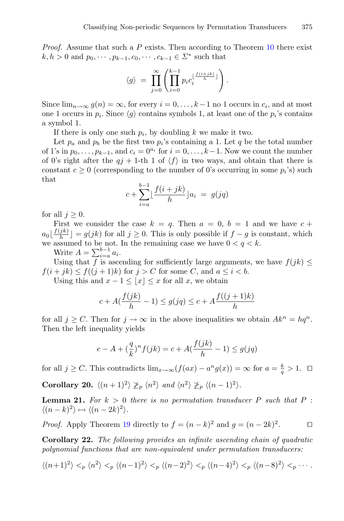*Proof.* Assume that such a P exists. Then according to Theorem [10](#page-6-0) there exist  $k, h > 0$  and  $p_0, \dots, p_{k-1}, c_0, \dots, c_{k-1} \in \Sigma^*$  such that

$$
\langle g \rangle = \prod_{j=0}^{\infty} \left( \prod_{i=0}^{k-1} p_i c_i^{\lfloor \frac{f(i+jk)}{h} \rfloor} \right).
$$

Since  $\lim_{n\to\infty} g(n) = \infty$ , for every  $i = 0, \ldots, k-1$  no 1 occurs in  $c_i$ , and at most one 1 occurs in  $p_i$ . Since  $\langle q \rangle$  contains symbols 1, at least one of the  $p_i$ 's contains a symbol 1.

If there is only one such  $p_i$ , by doubling k we make it two.

Let  $p_a$  and  $p_b$  be the first two  $p_i$ 's containing a 1. Let q be the total number of 1's in  $p_0, \ldots, p_{k-1}$ , and  $c_i = 0^{a_i}$  for  $i = 0, \ldots, k-1$ . Now we count the number of 0's right after the  $qj + 1$ -th 1 of  $\langle f \rangle$  in two ways, and obtain that there is constant  $c \geq 0$  (corresponding to the number of 0's occurring in some  $p_i$ 's) such that

$$
c + \sum_{i=a}^{b-1} \lfloor \frac{f(i+jk)}{h} \rfloor a_i = g(jq)
$$

for all  $j \geq 0$ .

First we consider the case  $k = q$ . Then  $a = 0, b = 1$  and we have  $c +$  $a_0 \lfloor \frac{f(jk)}{h} \rfloor = g(jk)$  for all  $j \geq 0$ . This is only possible if  $f - g$  is constant, which we assumed to be not. In the remaining case we have  $0 < q < k$ .

Write  $A = \sum_{i=a}^{b-1} a_i$ .

Using that f is ascending for sufficiently large arguments, we have  $f(jk) \leq$  $f(i + jk) \le f((j + 1)k)$  for  $j > C$  for some C, and  $a \le i < b$ .

Using this and  $x - 1 \le |x| \le x$  for all x, we obtain

$$
c + A(\frac{f(jk)}{h} - 1) \le g(jq) \le c + A\frac{f((j+1)k)}{h}
$$

for all  $j \geq C$ . Then for  $j \to \infty$  in the above inequalities we obtain  $Ak^{n} = hq^{n}$ . Then the left inequality yields

$$
c - A + \left(\frac{q}{k}\right)^n f(jk) = c + A\left(\frac{f(jk)}{h} - 1\right) \le g(jq)
$$

for all  $j \geq C$ . This contradicts  $\lim_{x \to \infty} (f(ax) - a^n g(x)) = \infty$  for  $a = \frac{k}{q} > 1$ .  $\Box$ 

<span id="page-10-0"></span>**Corollary 20.**  $\langle (n+1)^2 \rangle \not\geq_p \langle n^2 \rangle$  and  $\langle n^2 \rangle \not\geq_p \langle (n-1)^2 \rangle$ .

<span id="page-10-1"></span>**Lemma 21.** For  $k > 0$  there is no permutation transducer P such that P :  $\langle (n-k)^2 \rangle \mapsto \langle (n-2k)^2 \rangle.$ 

*Proof.* Apply Theorem [19](#page-9-1) directly to  $f = (n - k)^2$  and  $g = (n - 2k)^2$ .

**Corollary 22.** *The following provides an infinite ascending chain of quadratic polynomial functions that are non-equivalent under permutation transducers:*

$$
\langle (n+1)^2 \rangle <_p \langle n^2 \rangle <_p \langle (n-1)^2 \rangle <_p \langle (n-2)^2 \rangle <_p \langle (n-4)^2 \rangle <_p \langle (n-8)^2 \rangle <_p \cdots.
$$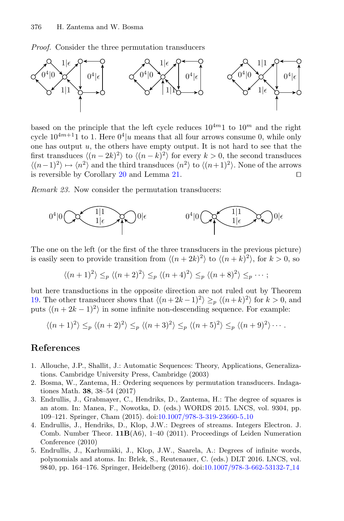*Proof.* Consider the three permutation transducers



based on the principle that the left cycle reduces  $10^{4m}1$  to  $10^m$  and the right cycle  $10^{4m+1}1$  to 1. Here  $0^4|u$  means that all four arrows consume 0, while only one has output  $u$ , the others have empty output. It is not hard to see that the first transduces  $\langle (n-2k)^2 \rangle$  to  $\langle (n-k)^2 \rangle$  for every  $k > 0$ , the second transduces  $\langle (n-1)^2 \rangle \mapsto \langle n^2 \rangle$  and the third transduces  $\langle n^2 \rangle$  to  $\langle (n+1)^2 \rangle$ . None of the arrows is reversible by Corollary  $20$  and Lemma  $21$ .

*Remark 23.* Now consider the permutation transducers:



The one on the left (or the first of the three transducers in the previous picture) is easily seen to provide transition from  $\langle (n+2k)^2 \rangle$  to  $\langle (n+k)^2 \rangle$ , for  $k > 0$ , so

$$
\langle (n+1)^2 \rangle \leq_p \langle (n+2)^2 \rangle \leq_p \langle (n+4)^2 \rangle \leq_p \langle (n+8)^2 \rangle \leq_p \cdots ;
$$

but here transductions in the opposite direction are not ruled out by Theorem [19.](#page-9-1) The other transducer shows that  $\langle (n+2k-1)^2 \rangle \geq_n \langle (n+k)^2 \rangle$  for  $k > 0$ , and puts  $\langle (n+2k-1)^2 \rangle$  in some infinite non-descending sequence. For example:

$$
\langle (n+1)^2 \rangle \leq_p \langle (n+2)^2 \rangle \leq_p \langle (n+3)^2 \rangle \leq_p \langle (n+5)^2 \rangle \leq_p \langle (n+9)^2 \rangle \cdots
$$

#### **References**

- <span id="page-11-2"></span>1. Allouche, J.P., Shallit, J.: Automatic Sequences: Theory, Applications, Generalizations. Cambridge University Press, Cambridge (2003)
- <span id="page-11-3"></span>2. Bosma, W., Zantema, H.: Ordering sequences by permutation transducers. Indagationes Math. **38**, 38–54 (2017)
- <span id="page-11-0"></span>3. Endrullis, J., Grabmayer, C., Hendriks, D., Zantema, H.: The degree of squares is an atom. In: Manea, F., Nowotka, D. (eds.) WORDS 2015. LNCS, vol. 9304, pp. 109–121. Springer, Cham (2015). doi[:10.1007/978-3-319-23660-5](http://dx.doi.org/10.1007/978-3-319-23660-5_10) 10
- <span id="page-11-4"></span>4. Endrullis, J., Hendriks, D., Klop, J.W.: Degrees of streams. Integers Electron. J. Comb. Number Theor. **11B**(A6), 1–40 (2011). Proceedings of Leiden Numeration Conference (2010)
- <span id="page-11-1"></span>5. Endrullis, J., Karhumäki, J., Klop, J.W., Saarela, A.: Degrees of infinite words, polynomials and atoms. In: Brlek, S., Reutenauer, C. (eds.) DLT 2016. LNCS, vol. 9840, pp. 164–176. Springer, Heidelberg (2016). doi[:10.1007/978-3-662-53132-7](http://dx.doi.org/10.1007/978-3-662-53132-7_14) 14